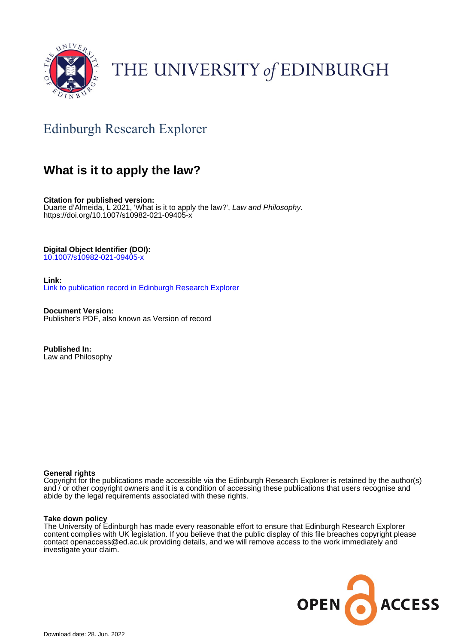

# THE UNIVERSITY of EDINBURGH

# Edinburgh Research Explorer

# **What is it to apply the law?**

**Citation for published version:** Duarte d'Almeida, L 2021, 'What is it to apply the law?', Law and Philosophy. <https://doi.org/10.1007/s10982-021-09405-x>

**Digital Object Identifier (DOI):**

[10.1007/s10982-021-09405-x](https://doi.org/10.1007/s10982-021-09405-x)

**Link:** [Link to publication record in Edinburgh Research Explorer](https://www.research.ed.ac.uk/en/publications/55aafa0c-ce2a-409d-be7d-e00f38c7ba5e)

**Document Version:** Publisher's PDF, also known as Version of record

**Published In:** Law and Philosophy

#### **General rights**

Copyright for the publications made accessible via the Edinburgh Research Explorer is retained by the author(s) and / or other copyright owners and it is a condition of accessing these publications that users recognise and abide by the legal requirements associated with these rights.

#### **Take down policy**

The University of Edinburgh has made every reasonable effort to ensure that Edinburgh Research Explorer content complies with UK legislation. If you believe that the public display of this file breaches copyright please contact openaccess@ed.ac.uk providing details, and we will remove access to the work immediately and investigate your claim.

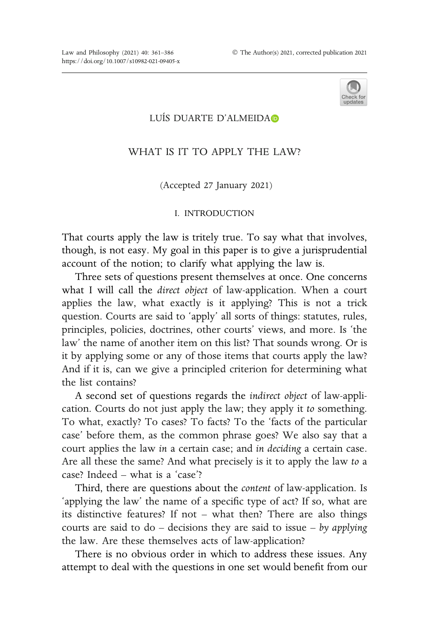

### LUÍS DUARTE D'ALMEIDA

### WHAT IS IT TO APPLY THE LAW?

(Accepted 27 January 2021)

I. INTRODUCTION

That courts apply the law is tritely true. To say what that involves, though, is not easy. My goal in this paper is to give a jurisprudential account of the notion; to clarify what applying the law is.

Three sets of questions present themselves at once. One concerns what I will call the direct object of law-application. When a court applies the law, what exactly is it applying? This is not a trick question. Courts are said to 'apply' all sorts of things: statutes, rules, principles, policies, doctrines, other courts' views, and more. Is 'the law' the name of another item on this list? That sounds wrong. Or is it by applying some or any of those items that courts apply the law? And if it is, can we give a principled criterion for determining what the list contains?

A second set of questions regards the indirect object of law-application. Courts do not just apply the law; they apply it to something. To what, exactly? To cases? To facts? To the 'facts of the particular case' before them, as the common phrase goes? We also say that a court applies the law in a certain case; and in deciding a certain case. Are all these the same? And what precisely is it to apply the law to a case? Indeed – what is a 'case'?

Third, there are questions about the content of law-application. Is 'applying the law' the name of a specific type of act? If so, what are its distinctive features? If not – what then? There are also things courts are said to do – decisions they are said to issue – by applying the law. Are these themselves acts of law-application?

There is no obvious order in which to address these issues. Any attempt to deal with the questions in one set would benefit from our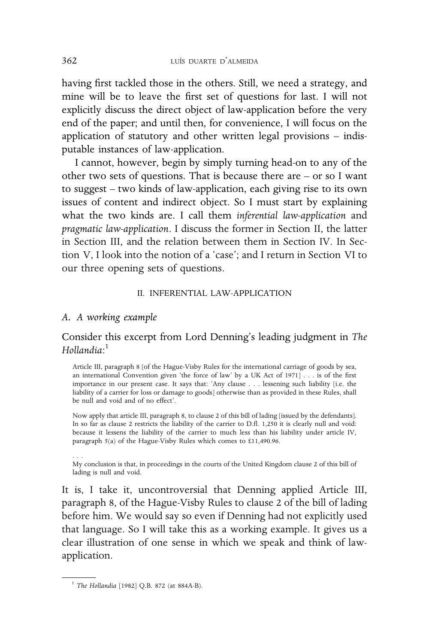having first tackled those in the others. Still, we need a strategy, and mine will be to leave the first set of questions for last. I will not explicitly discuss the direct object of law-application before the very end of the paper; and until then, for convenience, I will focus on the application of statutory and other written legal provisions – indisputable instances of law-application.

I cannot, however, begin by simply turning head-on to any of the other two sets of questions. That is because there are – or so I want to suggest – two kinds of law-application, each giving rise to its own issues of content and indirect object. So I must start by explaining what the two kinds are. I call them inferential law-application and pragmatic law-application. I discuss the former in Section II, the latter in Section III, and the relation between them in Section IV. In Section V, I look into the notion of a 'case'; and I return in Section VI to our three opening sets of questions.

#### II. INFERENTIAL LAW-APPLICATION

#### A. A working example

## Consider this excerpt from Lord Denning's leading judgment in The Hollandia: $^{\rm l}$

Article III, paragraph 8 [of the Hague-Visby Rules for the international carriage of goods by sea, an international Convention given 'the force of law' by a UK Act of 1971] . . . is of the first importance in our present case. It says that: 'Any clause . . . lessening such liability [i.e. the liability of a carrier for loss or damage to goods] otherwise than as provided in these Rules, shall be null and void and of no effect'.

Now apply that article III, paragraph 8, to clause 2 of this bill of lading [issued by the defendants]. In so far as clause 2 restricts the liability of the carrier to D.fl. 1,250 it is clearly null and void: because it lessens the liability of the carrier to much less than his liability under article IV, paragraph 5(a) of the Hague-Visby Rules which comes to £11,490.96.

... My conclusion is that, in proceedings in the courts of the United Kingdom clause 2 of this bill of lading is null and void.

It is, I take it, uncontroversial that Denning applied Article III, paragraph 8, of the Hague-Visby Rules to clause 2 of the bill of lading before him. We would say so even if Denning had not explicitly used that language. So I will take this as a working example. It gives us a clear illustration of one sense in which we speak and think of lawapplication.

<sup>&</sup>lt;sup>1</sup> The Hollandia [1982] Q.B. 872 (at 884A-B).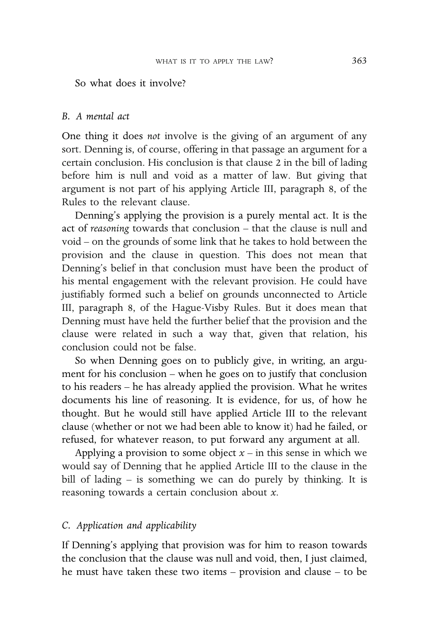So what does it involve?

#### B. A mental act

One thing it does not involve is the giving of an argument of any sort. Denning is, of course, offering in that passage an argument for a certain conclusion. His conclusion is that clause 2 in the bill of lading before him is null and void as a matter of law. But giving that argument is not part of his applying Article III, paragraph 8, of the Rules to the relevant clause.

Denning's applying the provision is a purely mental act. It is the act of reasoning towards that conclusion – that the clause is null and void – on the grounds of some link that he takes to hold between the provision and the clause in question. This does not mean that Denning's belief in that conclusion must have been the product of his mental engagement with the relevant provision. He could have justifiably formed such a belief on grounds unconnected to Article III, paragraph 8, of the Hague-Visby Rules. But it does mean that Denning must have held the further belief that the provision and the clause were related in such a way that, given that relation, his conclusion could not be false.

So when Denning goes on to publicly give, in writing, an argument for his conclusion – when he goes on to justify that conclusion to his readers – he has already applied the provision. What he writes documents his line of reasoning. It is evidence, for us, of how he thought. But he would still have applied Article III to the relevant clause (whether or not we had been able to know it) had he failed, or refused, for whatever reason, to put forward any argument at all.

Applying a provision to some object  $x -$  in this sense in which we would say of Denning that he applied Article III to the clause in the bill of lading – is something we can do purely by thinking. It is reasoning towards a certain conclusion about  $x$ .

#### C. Application and applicability

If Denning's applying that provision was for him to reason towards the conclusion that the clause was null and void, then, I just claimed, he must have taken these two items – provision and clause – to be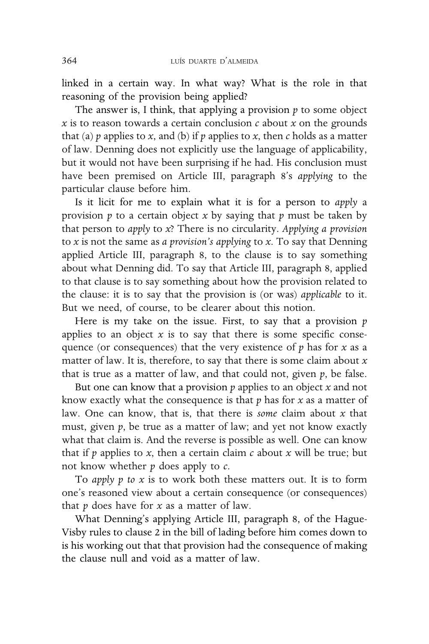linked in a certain way. In what way? What is the role in that reasoning of the provision being applied?

The answer is, I think, that applying a provision  $p$  to some object  $x$  is to reason towards a certain conclusion  $c$  about  $x$  on the grounds that (a)  $p$  applies to  $x$ , and (b) if  $p$  applies to  $x$ , then  $c$  holds as a matter of law. Denning does not explicitly use the language of applicability, but it would not have been surprising if he had. His conclusion must have been premised on Article III, paragraph 8's applying to the particular clause before him.

Is it licit for me to explain what it is for a person to apply a provision  $p$  to a certain object  $x$  by saying that  $p$  must be taken by that person to apply to  $x$ ? There is no circularity. Applying a provision to  $x$  is not the same as a provision's applying to  $x$ . To say that Denning applied Article III, paragraph 8, to the clause is to say something about what Denning did. To say that Article III, paragraph 8, applied to that clause is to say something about how the provision related to the clause: it is to say that the provision is (or was) applicable to it. But we need, of course, to be clearer about this notion.

Here is my take on the issue. First, to say that a provision  $p$ applies to an object  $x$  is to say that there is some specific consequence (or consequences) that the very existence of  $p$  has for  $x$  as a matter of law. It is, therefore, to say that there is some claim about  $x$ that is true as a matter of law, and that could not, given  $p$ , be false.

But one can know that a provision  $p$  applies to an object  $x$  and not know exactly what the consequence is that  $p$  has for  $x$  as a matter of law. One can know, that is, that there is some claim about  $x$  that must, given  $p$ , be true as a matter of law; and yet not know exactly what that claim is. And the reverse is possible as well. One can know that if  $p$  applies to  $x$ , then a certain claim  $c$  about  $x$  will be true; but not know whether  $p$  does apply to  $c$ .

To apply  $p$  to  $x$  is to work both these matters out. It is to form one's reasoned view about a certain consequence (or consequences) that  $p$  does have for  $x$  as a matter of law.

What Denning's applying Article III, paragraph 8, of the Hague-Visby rules to clause 2 in the bill of lading before him comes down to is his working out that that provision had the consequence of making the clause null and void as a matter of law.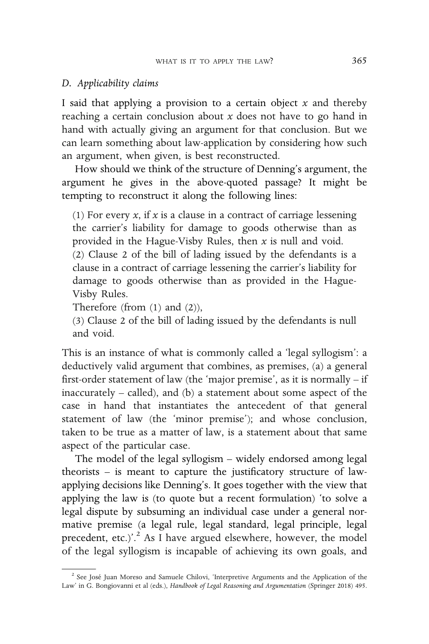#### D. Applicability claims

I said that applying a provision to a certain object  $x$  and thereby reaching a certain conclusion about  $x$  does not have to go hand in hand with actually giving an argument for that conclusion. But we can learn something about law-application by considering how such an argument, when given, is best reconstructed.

How should we think of the structure of Denning's argument, the argument he gives in the above-quoted passage? It might be tempting to reconstruct it along the following lines:

(1) For every  $x$ , if  $x$  is a clause in a contract of carriage lessening the carrier's liability for damage to goods otherwise than as provided in the Hague-Visby Rules, then  $x$  is null and void. (2) Clause 2 of the bill of lading issued by the defendants is a

clause in a contract of carriage lessening the carrier's liability for damage to goods otherwise than as provided in the Hague-Visby Rules.

Therefore (from (1) and (2)),

(3) Clause 2 of the bill of lading issued by the defendants is null and void.

This is an instance of what is commonly called a 'legal syllogism': a deductively valid argument that combines, as premises, (a) a general first-order statement of law (the 'major premise', as it is normally – if inaccurately – called), and (b) a statement about some aspect of the case in hand that instantiates the antecedent of that general statement of law (the 'minor premise'); and whose conclusion, taken to be true as a matter of law, is a statement about that same aspect of the particular case.

The model of the legal syllogism – widely endorsed among legal theorists – is meant to capture the justificatory structure of lawapplying decisions like Denning's. It goes together with the view that applying the law is (to quote but a recent formulation) 'to solve a legal dispute by subsuming an individual case under a general normative premise (a legal rule, legal standard, legal principle, legal precedent, etc.)<sup>2</sup>. As I have argued elsewhere, however, the model of the legal syllogism is incapable of achieving its own goals, and

<sup>&</sup>lt;sup>2</sup> See José Juan Moreso and Samuele Chilovi, 'Interpretive Arguments and the Application of the Law' in G. Bongiovanni et al (eds.), Handbook of Legal Reasoning and Argumentation (Springer 2018) 495.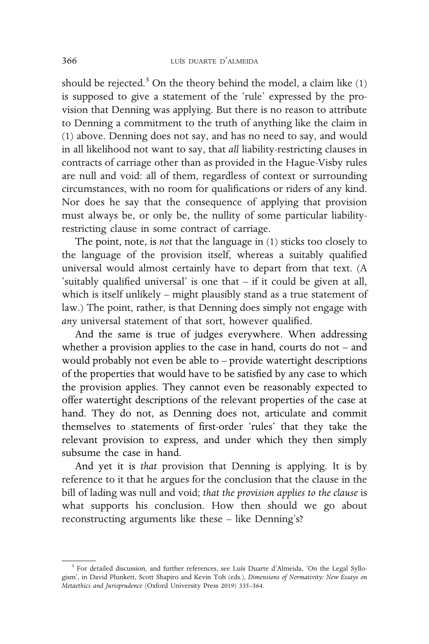should be rejected.<sup>3</sup> On the theory behind the model, a claim like  $(1)$ is supposed to give a statement of the 'rule' expressed by the provision that Denning was applying. But there is no reason to attribute to Denning a commitment to the truth of anything like the claim in (1) above. Denning does not say, and has no need to say, and would in all likelihood not want to say, that all liability-restricting clauses in contracts of carriage other than as provided in the Hague-Visby rules are null and void: all of them, regardless of context or surrounding circumstances, with no room for qualifications or riders of any kind. Nor does he say that the consequence of applying that provision must always be, or only be, the nullity of some particular liabilityrestricting clause in some contract of carriage.

The point, note, is not that the language in (1) sticks too closely to the language of the provision itself, whereas a suitably qualified universal would almost certainly have to depart from that text. (A 'suitably qualified universal' is one that – if it could be given at all, which is itself unlikely – might plausibly stand as a true statement of law.) The point, rather, is that Denning does simply not engage with any universal statement of that sort, however qualified.

And the same is true of judges everywhere. When addressing whether a provision applies to the case in hand, courts do not – and would probably not even be able to – provide watertight descriptions of the properties that would have to be satisfied by any case to which the provision applies. They cannot even be reasonably expected to offer watertight descriptions of the relevant properties of the case at hand. They do not, as Denning does not, articulate and commit themselves to statements of first-order 'rules' that they take the relevant provision to express, and under which they then simply subsume the case in hand.

And yet it is that provision that Denning is applying. It is by reference to it that he argues for the conclusion that the clause in the bill of lading was null and void; that the provision applies to the clause is what supports his conclusion. How then should we go about reconstructing arguments like these – like Denning's?

<sup>&</sup>lt;sup>3</sup> For detailed discussion, and further references, see Luís Duarte d'Almeida, 'On the Legal Syllogism', in David Plunkett, Scott Shapiro and Kevin Toh (eds.), Dimensions of Normativity: New Essays on Metaethics and Jurisprudence (Oxford University Press 2019) 335–364.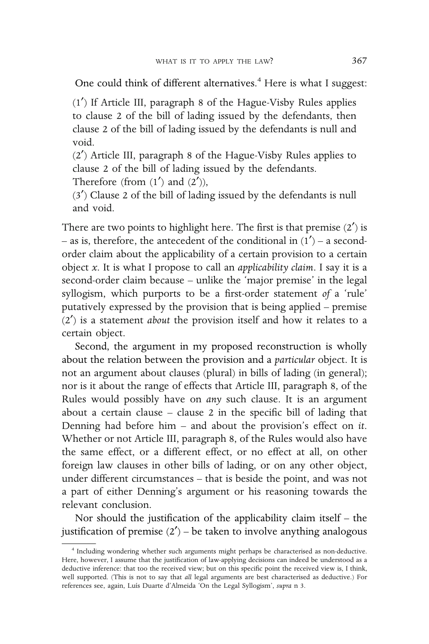One could think of different alternatives.<sup>4</sup> Here is what I suggest:

(1¢) If Article III, paragraph 8 of the Hague-Visby Rules applies to clause 2 of the bill of lading issued by the defendants, then clause 2 of the bill of lading issued by the defendants is null and void.

(2¢) Article III, paragraph 8 of the Hague-Visby Rules applies to clause 2 of the bill of lading issued by the defendants.

Therefore (from  $(1')$  and  $(2')$ ),

 $(3')$  Clause 2 of the bill of lading issued by the defendants is null and void.

There are two points to highlight here. The first is that premise  $(2')$  is – as is, therefore, the antecedent of the conditional in  $(1')$  – a secondorder claim about the applicability of a certain provision to a certain object  $x$ . It is what I propose to call an *applicability claim*. I say it is a second-order claim because – unlike the 'major premise' in the legal syllogism, which purports to be a first-order statement of a 'rule' putatively expressed by the provision that is being applied – premise  $(2')$  is a statement *about* the provision itself and how it relates to a certain object.

Second, the argument in my proposed reconstruction is wholly about the relation between the provision and a particular object. It is not an argument about clauses (plural) in bills of lading (in general); nor is it about the range of effects that Article III, paragraph 8, of the Rules would possibly have on any such clause. It is an argument about a certain clause – clause 2 in the specific bill of lading that Denning had before him – and about the provision's effect on it. Whether or not Article III, paragraph 8, of the Rules would also have the same effect, or a different effect, or no effect at all, on other foreign law clauses in other bills of lading, or on any other object, under different circumstances – that is beside the point, and was not a part of either Denning's argument or his reasoning towards the relevant conclusion.

Nor should the justification of the applicability claim itself – the justification of premise  $(2')$  – be taken to involve anything analogous

<sup>4</sup> Including wondering whether such arguments might perhaps be characterised as non-deductive. Here, however, I assume that the justification of law-applying decisions can indeed be understood as a deductive inference: that too the received view; but on this specific point the received view is, I think, well supported. (This is not to say that all legal arguments are best characterised as deductive.) For references see, again, Luís Duarte d'Almeida 'On the Legal Syllogism', supra n 3.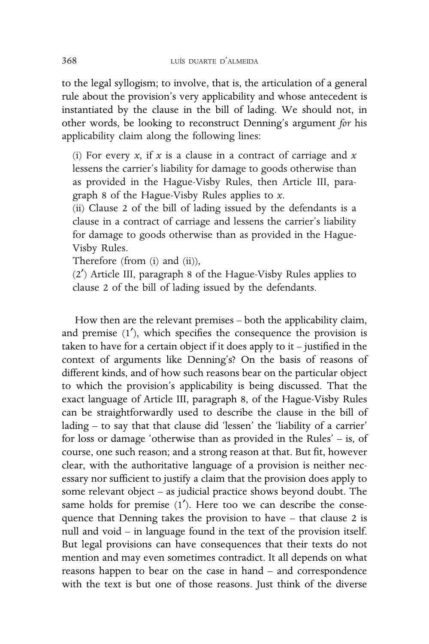to the legal syllogism; to involve, that is, the articulation of a general rule about the provision's very applicability and whose antecedent is instantiated by the clause in the bill of lading. We should not, in other words, be looking to reconstruct Denning's argument for his applicability claim along the following lines:

(i) For every  $x$ , if  $x$  is a clause in a contract of carriage and  $x$ lessens the carrier's liability for damage to goods otherwise than as provided in the Hague-Visby Rules, then Article III, paragraph 8 of the Hague-Visby Rules applies to  $x$ .

(ii) Clause 2 of the bill of lading issued by the defendants is a clause in a contract of carriage and lessens the carrier's liability for damage to goods otherwise than as provided in the Hague-Visby Rules.

Therefore (from (i) and (ii)),

(2¢) Article III, paragraph 8 of the Hague-Visby Rules applies to clause 2 of the bill of lading issued by the defendants.

How then are the relevant premises – both the applicability claim, and premise  $(1')$ , which specifies the consequence the provision is taken to have for a certain object if it does apply to it – justified in the context of arguments like Denning's? On the basis of reasons of different kinds, and of how such reasons bear on the particular object to which the provision's applicability is being discussed. That the exact language of Article III, paragraph 8, of the Hague-Visby Rules can be straightforwardly used to describe the clause in the bill of lading – to say that that clause did 'lessen' the 'liability of a carrier' for loss or damage 'otherwise than as provided in the Rules' – is, of course, one such reason; and a strong reason at that. But fit, however clear, with the authoritative language of a provision is neither necessary nor sufficient to justify a claim that the provision does apply to some relevant object – as judicial practice shows beyond doubt. The same holds for premise  $(1')$ . Here too we can describe the consequence that Denning takes the provision to have – that clause 2 is null and void – in language found in the text of the provision itself. But legal provisions can have consequences that their texts do not mention and may even sometimes contradict. It all depends on what reasons happen to bear on the case in hand – and correspondence with the text is but one of those reasons. Just think of the diverse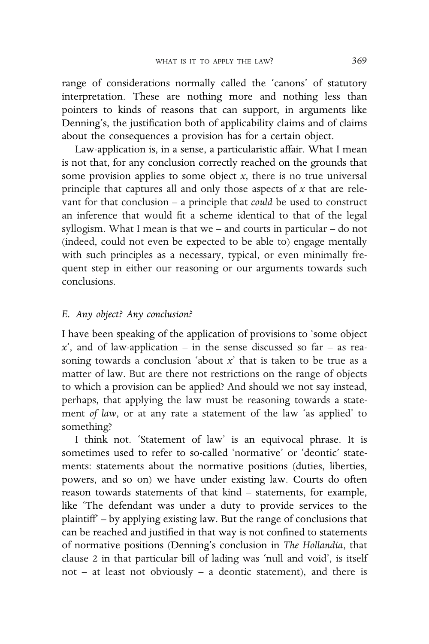range of considerations normally called the 'canons' of statutory interpretation. These are nothing more and nothing less than pointers to kinds of reasons that can support, in arguments like Denning's, the justification both of applicability claims and of claims about the consequences a provision has for a certain object.

Law-application is, in a sense, a particularistic affair. What I mean is not that, for any conclusion correctly reached on the grounds that some provision applies to some object  $x$ , there is no true universal principle that captures all and only those aspects of  $x$  that are relevant for that conclusion – a principle that could be used to construct an inference that would fit a scheme identical to that of the legal syllogism. What I mean is that we – and courts in particular – do not (indeed, could not even be expected to be able to) engage mentally with such principles as a necessary, typical, or even minimally frequent step in either our reasoning or our arguments towards such conclusions.

#### E. Any object? Any conclusion?

I have been speaking of the application of provisions to 'some object  $x'$ , and of law-application – in the sense discussed so far – as reasoning towards a conclusion 'about  $x'$  that is taken to be true as a matter of law. But are there not restrictions on the range of objects to which a provision can be applied? And should we not say instead, perhaps, that applying the law must be reasoning towards a statement of law, or at any rate a statement of the law 'as applied' to something?

I think not. 'Statement of law' is an equivocal phrase. It is sometimes used to refer to so-called 'normative' or 'deontic' statements: statements about the normative positions (duties, liberties, powers, and so on) we have under existing law. Courts do often reason towards statements of that kind – statements, for example, like 'The defendant was under a duty to provide services to the plaintiff' – by applying existing law. But the range of conclusions that can be reached and justified in that way is not confined to statements of normative positions (Denning's conclusion in The Hollandia, that clause 2 in that particular bill of lading was 'null and void', is itself not – at least not obviously – a deontic statement), and there is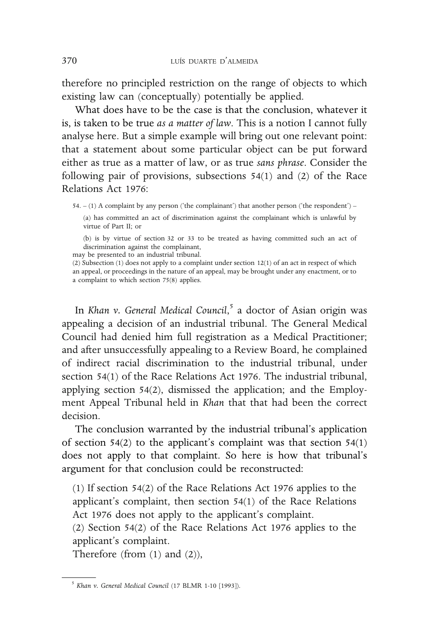therefore no principled restriction on the range of objects to which existing law can (conceptually) potentially be applied.

What does have to be the case is that the conclusion, whatever it is, is taken to be true as a matter of law. This is a notion I cannot fully analyse here. But a simple example will bring out one relevant point: that a statement about some particular object can be put forward either as true as a matter of law, or as true sans phrase. Consider the following pair of provisions, subsections 54(1) and (2) of the Race Relations Act 1976:

54. – (1) A complaint by any person ('the complainant') that another person ('the respondent') – (a) has committed an act of discrimination against the complainant which is unlawful by virtue of Part II; or

(b) is by virtue of section 32 or 33 to be treated as having committed such an act of discrimination against the complainant,

may be presented to an industrial tribunal.

(2) Subsection (1) does not apply to a complaint under section 12(1) of an act in respect of which an appeal, or proceedings in the nature of an appeal, may be brought under any enactment, or to a complaint to which section 75(8) applies.

In *Khan v. General Medical Council,<sup>5</sup>* a doctor of Asian origin was appealing a decision of an industrial tribunal. The General Medical Council had denied him full registration as a Medical Practitioner; and after unsuccessfully appealing to a Review Board, he complained of indirect racial discrimination to the industrial tribunal, under section 54(1) of the Race Relations Act 1976. The industrial tribunal, applying section 54(2), dismissed the application; and the Employment Appeal Tribunal held in Khan that that had been the correct decision.

The conclusion warranted by the industrial tribunal's application of section 54(2) to the applicant's complaint was that section 54(1) does not apply to that complaint. So here is how that tribunal's argument for that conclusion could be reconstructed:

(1) If section 54(2) of the Race Relations Act 1976 applies to the applicant's complaint, then section 54(1) of the Race Relations Act 1976 does not apply to the applicant's complaint.

(2) Section 54(2) of the Race Relations Act 1976 applies to the applicant's complaint.

Therefore (from (1) and (2)),

<sup>5</sup> Khan v. General Medical Council (17 BLMR 1-10 [1993]).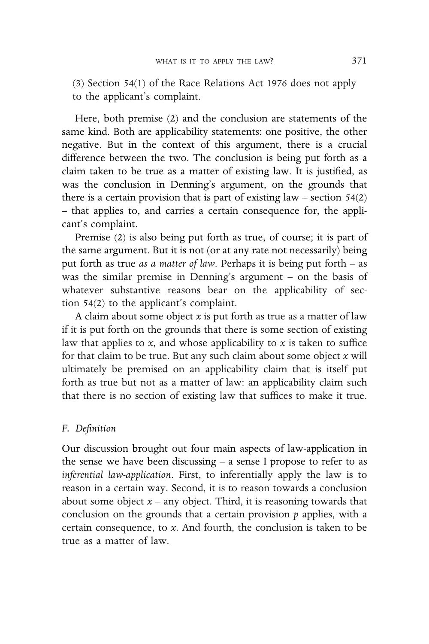(3) Section 54(1) of the Race Relations Act 1976 does not apply to the applicant's complaint.

Here, both premise (2) and the conclusion are statements of the same kind. Both are applicability statements: one positive, the other negative. But in the context of this argument, there is a crucial difference between the two. The conclusion is being put forth as a claim taken to be true as a matter of existing law. It is justified, as was the conclusion in Denning's argument, on the grounds that there is a certain provision that is part of existing  $law – section 54(2)$ – that applies to, and carries a certain consequence for, the applicant's complaint.

Premise (2) is also being put forth as true, of course; it is part of the same argument. But it is not (or at any rate not necessarily) being put forth as true as a matter of law. Perhaps it is being put forth – as was the similar premise in Denning's argument – on the basis of whatever substantive reasons bear on the applicability of section 54(2) to the applicant's complaint.

A claim about some object  $x$  is put forth as true as a matter of law if it is put forth on the grounds that there is some section of existing law that applies to  $x$ , and whose applicability to  $x$  is taken to suffice for that claim to be true. But any such claim about some object  $x$  will ultimately be premised on an applicability claim that is itself put forth as true but not as a matter of law: an applicability claim such that there is no section of existing law that suffices to make it true.

#### F. Definition

Our discussion brought out four main aspects of law-application in the sense we have been discussing – a sense I propose to refer to as inferential law-application. First, to inferentially apply the law is to reason in a certain way. Second, it is to reason towards a conclusion about some object  $x$  – any object. Third, it is reasoning towards that conclusion on the grounds that a certain provision  $p$  applies, with a certain consequence, to  $x$ . And fourth, the conclusion is taken to be true as a matter of law.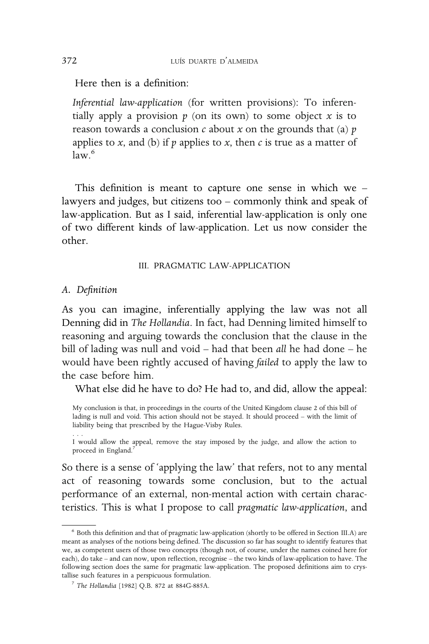Here then is a definition:

Inferential law-application (for written provisions): To inferentially apply a provision  $p$  (on its own) to some object  $x$  is to reason towards a conclusion c about x on the grounds that (a)  $p$ applies to x, and (b) if p applies to x, then c is true as a matter of  $l$ aw $^6$ 

This definition is meant to capture one sense in which we – lawyers and judges, but citizens too – commonly think and speak of law-application. But as I said, inferential law-application is only one of two different kinds of law-application. Let us now consider the other.

#### III. PRAGMATIC LAW-APPLICATION

#### A. Definition

...

As you can imagine, inferentially applying the law was not all Denning did in The Hollandia. In fact, had Denning limited himself to reasoning and arguing towards the conclusion that the clause in the bill of lading was null and void – had that been all he had done – he would have been rightly accused of having failed to apply the law to the case before him.

What else did he have to do? He had to, and did, allow the appeal:

My conclusion is that, in proceedings in the courts of the United Kingdom clause 2 of this bill of lading is null and void. This action should not be stayed. It should proceed – with the limit of liability being that prescribed by the Hague-Visby Rules.

So there is a sense of 'applying the law' that refers, not to any mental act of reasoning towards some conclusion, but to the actual performance of an external, non-mental action with certain characteristics. This is what I propose to call pragmatic law-application, and

I would allow the appeal, remove the stay imposed by the judge, and allow the action to proceed in England.<sup>7</sup>

<sup>6</sup> Both this definition and that of pragmatic law-application (shortly to be offered in Section III.A) are meant as analyses of the notions being defined. The discussion so far has sought to identify features that we, as competent users of those two concepts (though not, of course, under the names coined here for each), do take – and can now, upon reflection, recognise – the two kinds of law-application to have. The following section does the same for pragmatic law-application. The proposed definitions aim to crystallise such features in a perspicuous formulation.

<sup>7</sup> The Hollandia [1982] Q.B. 872 at 884G-885A.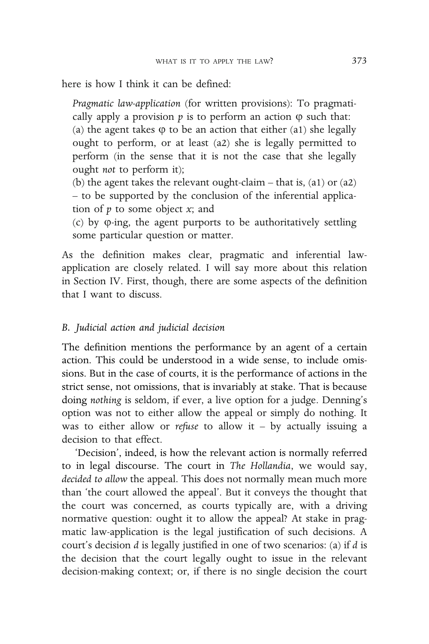here is how I think it can be defined:

Pragmatic law-application (for written provisions): To pragmatically apply a provision  $p$  is to perform an action  $\varphi$  such that: (a) the agent takes  $\varphi$  to be an action that either (a1) she legally ought to perform, or at least (a2) she is legally permitted to perform (in the sense that it is not the case that she legally ought not to perform it);

(b) the agent takes the relevant ought-claim – that is, (a1) or (a2) – to be supported by the conclusion of the inferential application of  $p$  to some object  $x$ ; and

 $(c)$  by  $\varphi$ -ing, the agent purports to be authoritatively settling some particular question or matter.

As the definition makes clear, pragmatic and inferential lawapplication are closely related. I will say more about this relation in Section IV. First, though, there are some aspects of the definition that I want to discuss.

#### B. Judicial action and judicial decision

The definition mentions the performance by an agent of a certain action. This could be understood in a wide sense, to include omissions. But in the case of courts, it is the performance of actions in the strict sense, not omissions, that is invariably at stake. That is because doing nothing is seldom, if ever, a live option for a judge. Denning's option was not to either allow the appeal or simply do nothing. It was to either allow or *refuse* to allow it – by actually issuing a decision to that effect.

'Decision', indeed, is how the relevant action is normally referred to in legal discourse. The court in The Hollandia, we would say, decided to allow the appeal. This does not normally mean much more than 'the court allowed the appeal'. But it conveys the thought that the court was concerned, as courts typically are, with a driving normative question: ought it to allow the appeal? At stake in pragmatic law-application is the legal justification of such decisions. A court's decision d is legally justified in one of two scenarios: (a) if d is the decision that the court legally ought to issue in the relevant decision-making context; or, if there is no single decision the court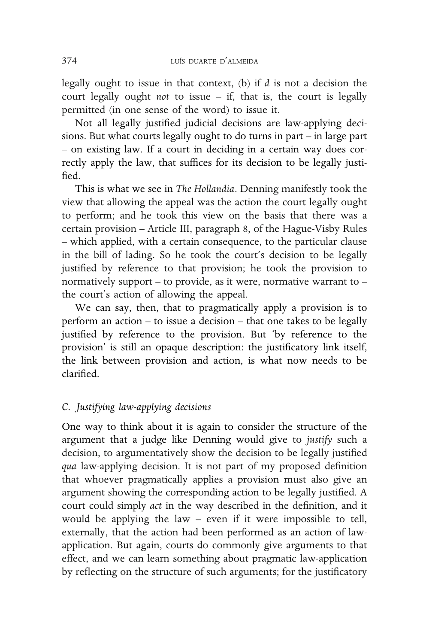legally ought to issue in that context,  $(b)$  if  $d$  is not a decision the court legally ought not to issue – if, that is, the court is legally permitted (in one sense of the word) to issue it.

Not all legally justified judicial decisions are law-applying decisions. But what courts legally ought to do turns in part – in large part – on existing law. If a court in deciding in a certain way does correctly apply the law, that suffices for its decision to be legally justified.

This is what we see in The Hollandia. Denning manifestly took the view that allowing the appeal was the action the court legally ought to perform; and he took this view on the basis that there was a certain provision – Article III, paragraph 8, of the Hague-Visby Rules – which applied, with a certain consequence, to the particular clause in the bill of lading. So he took the court's decision to be legally justified by reference to that provision; he took the provision to normatively support – to provide, as it were, normative warrant to – the court's action of allowing the appeal.

We can say, then, that to pragmatically apply a provision is to perform an action – to issue a decision – that one takes to be legally justified by reference to the provision. But 'by reference to the provision' is still an opaque description: the justificatory link itself, the link between provision and action, is what now needs to be clarified.

#### C. Justifying law-applying decisions

One way to think about it is again to consider the structure of the argument that a judge like Denning would give to justify such a decision, to argumentatively show the decision to be legally justified qua law-applying decision. It is not part of my proposed definition that whoever pragmatically applies a provision must also give an argument showing the corresponding action to be legally justified. A court could simply act in the way described in the definition, and it would be applying the law – even if it were impossible to tell, externally, that the action had been performed as an action of lawapplication. But again, courts do commonly give arguments to that effect, and we can learn something about pragmatic law-application by reflecting on the structure of such arguments; for the justificatory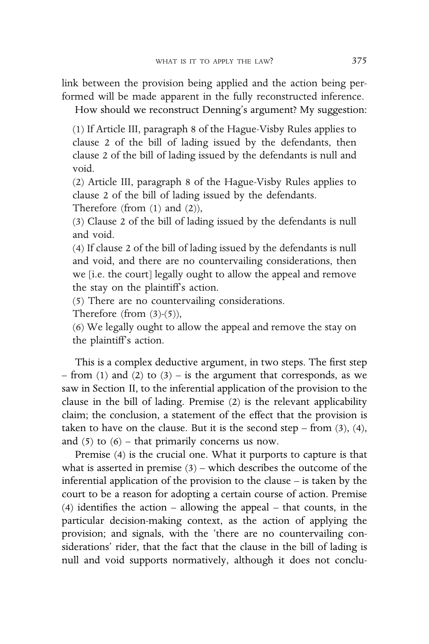link between the provision being applied and the action being performed will be made apparent in the fully reconstructed inference.

How should we reconstruct Denning's argument? My suggestion:

(1) If Article III, paragraph 8 of the Hague-Visby Rules applies to clause 2 of the bill of lading issued by the defendants, then clause 2 of the bill of lading issued by the defendants is null and void.

(2) Article III, paragraph 8 of the Hague-Visby Rules applies to clause 2 of the bill of lading issued by the defendants.

Therefore (from (1) and (2)),

(3) Clause 2 of the bill of lading issued by the defendants is null and void.

(4) If clause 2 of the bill of lading issued by the defendants is null and void, and there are no countervailing considerations, then we [i.e. the court] legally ought to allow the appeal and remove the stay on the plaintiff's action.

(5) There are no countervailing considerations.

Therefore (from  $(3)-(5)$ ),

(6) We legally ought to allow the appeal and remove the stay on the plaintiff's action.

This is a complex deductive argument, in two steps. The first step – from (1) and (2) to (3) – is the argument that corresponds, as we saw in Section II, to the inferential application of the provision to the clause in the bill of lading. Premise (2) is the relevant applicability claim; the conclusion, a statement of the effect that the provision is taken to have on the clause. But it is the second step – from  $(3)$ ,  $(4)$ , and  $(5)$  to  $(6)$  – that primarily concerns us now.

Premise (4) is the crucial one. What it purports to capture is that what is asserted in premise  $(3)$  – which describes the outcome of the inferential application of the provision to the clause – is taken by the court to be a reason for adopting a certain course of action. Premise (4) identifies the action – allowing the appeal – that counts, in the particular decision-making context, as the action of applying the provision; and signals, with the 'there are no countervailing considerations' rider, that the fact that the clause in the bill of lading is null and void supports normatively, although it does not conclu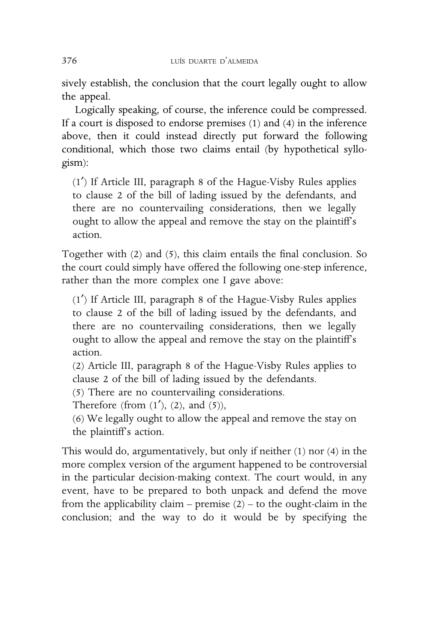sively establish, the conclusion that the court legally ought to allow the appeal.

Logically speaking, of course, the inference could be compressed. If a court is disposed to endorse premises (1) and (4) in the inference above, then it could instead directly put forward the following conditional, which those two claims entail (by hypothetical syllogism):

 $(1')$  If Article III, paragraph 8 of the Hague-Visby Rules applies to clause 2 of the bill of lading issued by the defendants, and there are no countervailing considerations, then we legally ought to allow the appeal and remove the stay on the plaintiff's action.

Together with (2) and (5), this claim entails the final conclusion. So the court could simply have offered the following one-step inference, rather than the more complex one I gave above:

 $(1')$  If Article III, paragraph 8 of the Hague-Visby Rules applies to clause 2 of the bill of lading issued by the defendants, and there are no countervailing considerations, then we legally ought to allow the appeal and remove the stay on the plaintiff's action.

(2) Article III, paragraph 8 of the Hague-Visby Rules applies to clause 2 of the bill of lading issued by the defendants.

(5) There are no countervailing considerations.

Therefore (from  $(1')$ ,  $(2)$ , and  $(5)$ ),

(6) We legally ought to allow the appeal and remove the stay on the plaintiff's action.

This would do, argumentatively, but only if neither (1) nor (4) in the more complex version of the argument happened to be controversial in the particular decision-making context. The court would, in any event, have to be prepared to both unpack and defend the move from the applicability claim – premise  $(2)$  – to the ought-claim in the conclusion; and the way to do it would be by specifying the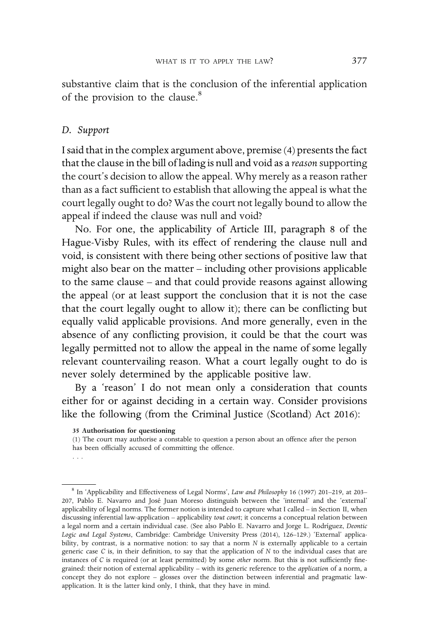substantive claim that is the conclusion of the inferential application of the provision to the clause.<sup>8</sup>

#### D. Support

I said that in the complex argument above, premise (4) presents the fact that the clause in the bill of lading is null and void as a reason supporting the court's decision to allow the appeal. Why merely as a reason rather than as a fact sufficient to establish that allowing the appeal is what the court legally ought to do? Was the court not legally bound to allow the appeal if indeed the clause was null and void?

No. For one, the applicability of Article III, paragraph 8 of the Hague-Visby Rules, with its effect of rendering the clause null and void, is consistent with there being other sections of positive law that might also bear on the matter – including other provisions applicable to the same clause – and that could provide reasons against allowing the appeal (or at least support the conclusion that it is not the case that the court legally ought to allow it); there can be conflicting but equally valid applicable provisions. And more generally, even in the absence of any conflicting provision, it could be that the court was legally permitted not to allow the appeal in the name of some legally relevant countervailing reason. What a court legally ought to do is never solely determined by the applicable positive law.

By a 'reason' I do not mean only a consideration that counts either for or against deciding in a certain way. Consider provisions like the following (from the Criminal Justice (Scotland) Act 2016):

35 Authorisation for questioning

(1) The court may authorise a constable to question a person about an offence after the person has been officially accused of committing the offence.

<sup>...</sup>

<sup>8</sup> In 'Applicability and Effectiveness of Legal Norms', Law and Philosophy 16 (1997) 201–219, at 203– 207, Pablo E. Navarro and José Juan Moreso distinguish between the 'internal' and the 'external' applicability of legal norms. The former notion is intended to capture what I called – in Section II, when discussing inferential law-application – applicability tout court; it concerns a conceptual relation between a legal norm and a certain individual case. (See also Pablo E. Navarro and Jorge L. Rodríguez, Deontic Logic and Legal Systems, Cambridge: Cambridge University Press (2014), 126–129.) 'External' applicability, by contrast, is a normative notion: to say that a norm N is externally applicable to a certain generic case  $C$  is, in their definition, to say that the application of  $N$  to the individual cases that are instances of C is required (or at least permitted) by some other norm. But this is not sufficiently finegrained: their notion of external applicability – with its generic reference to the application of a norm, a concept they do not explore – glosses over the distinction between inferential and pragmatic lawapplication. It is the latter kind only, I think, that they have in mind.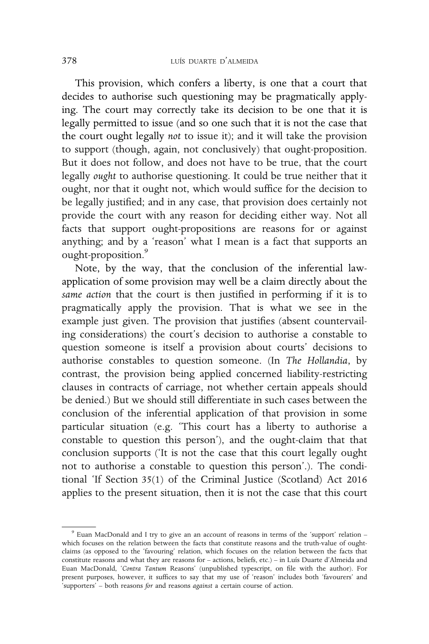This provision, which confers a liberty, is one that a court that decides to authorise such questioning may be pragmatically applying. The court may correctly take its decision to be one that it is legally permitted to issue (and so one such that it is not the case that the court ought legally not to issue it); and it will take the provision to support (though, again, not conclusively) that ought-proposition. But it does not follow, and does not have to be true, that the court legally ought to authorise questioning. It could be true neither that it ought, nor that it ought not, which would suffice for the decision to be legally justified; and in any case, that provision does certainly not provide the court with any reason for deciding either way. Not all facts that support ought-propositions are reasons for or against anything; and by a 'reason' what I mean is a fact that supports an ought-proposition.<sup>9</sup>

Note, by the way, that the conclusion of the inferential lawapplication of some provision may well be a claim directly about the same action that the court is then justified in performing if it is to pragmatically apply the provision. That is what we see in the example just given. The provision that justifies (absent countervailing considerations) the court's decision to authorise a constable to question someone is itself a provision about courts' decisions to authorise constables to question someone. (In The Hollandia, by contrast, the provision being applied concerned liability-restricting clauses in contracts of carriage, not whether certain appeals should be denied.) But we should still differentiate in such cases between the conclusion of the inferential application of that provision in some particular situation (e.g. 'This court has a liberty to authorise a constable to question this person'), and the ought-claim that that conclusion supports ('It is not the case that this court legally ought not to authorise a constable to question this person'.). The conditional 'If Section 35(1) of the Criminal Justice (Scotland) Act 2016 applies to the present situation, then it is not the case that this court

<sup>9</sup> Euan MacDonald and I try to give an an account of reasons in terms of the 'support' relation – which focuses on the relation between the facts that constitute reasons and the truth-value of oughtclaims (as opposed to the 'favouring' relation, which focuses on the relation between the facts that constitute reasons and what they are reasons for – actions, beliefs, etc.) – in Luís Duarte d'Almeida and Euan MacDonald, 'Contra Tantum Reasons' (unpublished typescript, on file with the author). For present purposes, however, it suffices to say that my use of 'reason' includes both 'favourers' and 'supporters' – both reasons for and reasons against a certain course of action.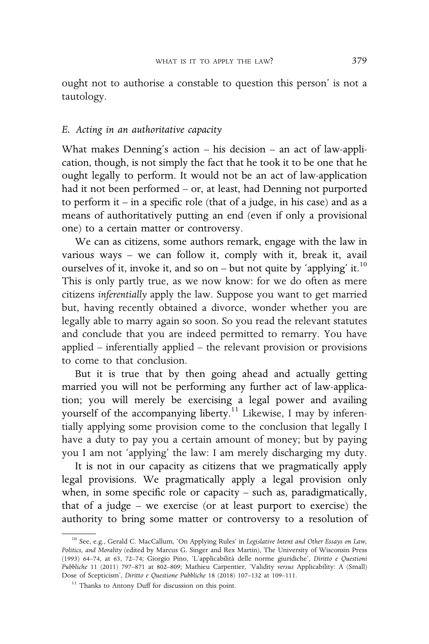ought not to authorise a constable to question this person' is not a tautology.

#### E. Acting in an authoritative capacity

What makes Denning's action – his decision – an act of law-application, though, is not simply the fact that he took it to be one that he ought legally to perform. It would not be an act of law-application had it not been performed – or, at least, had Denning not purported to perform it – in a specific role (that of a judge, in his case) and as a means of authoritatively putting an end (even if only a provisional one) to a certain matter or controversy.

We can as citizens, some authors remark, engage with the law in various ways – we can follow it, comply with it, break it, avail ourselves of it, invoke it, and so on – but not quite by 'applying' it.<sup>10</sup> This is only partly true, as we now know: for we do often as mere citizens inferentially apply the law. Suppose you want to get married but, having recently obtained a divorce, wonder whether you are legally able to marry again so soon. So you read the relevant statutes and conclude that you are indeed permitted to remarry. You have applied – inferentially applied – the relevant provision or provisions to come to that conclusion.

But it is true that by then going ahead and actually getting married you will not be performing any further act of law-application; you will merely be exercising a legal power and availing yourself of the accompanying liberty.<sup>11</sup> Likewise, I may by inferentially applying some provision come to the conclusion that legally I have a duty to pay you a certain amount of money; but by paying you I am not 'applying' the law: I am merely discharging my duty.

It is not in our capacity as citizens that we pragmatically apply legal provisions. We pragmatically apply a legal provision only when, in some specific role or capacity – such as, paradigmatically, that of a judge – we exercise (or at least purport to exercise) the authority to bring some matter or controversy to a resolution of

<sup>&</sup>lt;sup>10</sup> See, e.g., Gerald C. MacCallum, 'On Applying Rules' in Legislative Intent and Other Essays on Law, Politics, and Morality (edited by Marcus G. Singer and Rex Martin), The University of Wisconsin Press (1993) 64–74, at 63, 72–74; Giorgio Pino, 'L'applicabilità delle norme giuridiche', Diritto e Questioni Pubbliche 11 (2011) 797–871 at 802–809; Mathieu Carpentier, 'Validity versus Applicability: A (Small) Dose of Scepticism', Diritto e Questione Pubbliche 18 (2018) 107–132 at 109–111.

<sup>&</sup>lt;sup>11</sup> Thanks to Antony Duff for discussion on this point.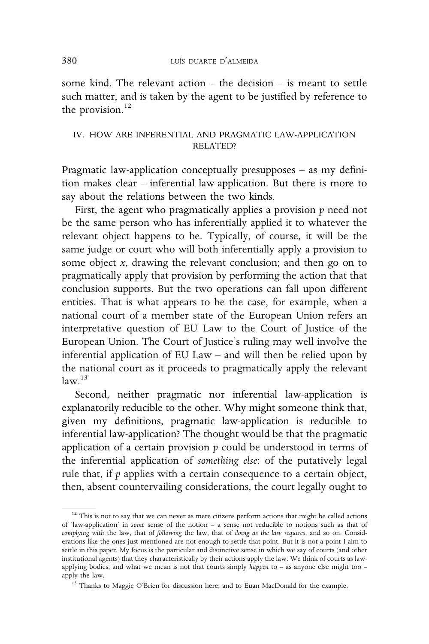some kind. The relevant action – the decision – is meant to settle such matter, and is taken by the agent to be justified by reference to the provision. $^{12}$ 

#### IV. HOW ARE INFERENTIAL AND PRAGMATIC LAW-APPLICATION RELATED?

Pragmatic law-application conceptually presupposes – as my definition makes clear – inferential law-application. But there is more to say about the relations between the two kinds.

First, the agent who pragmatically applies a provision  $p$  need not be the same person who has inferentially applied it to whatever the relevant object happens to be. Typically, of course, it will be the same judge or court who will both inferentially apply a provision to some object  $x$ , drawing the relevant conclusion; and then go on to pragmatically apply that provision by performing the action that that conclusion supports. But the two operations can fall upon different entities. That is what appears to be the case, for example, when a national court of a member state of the European Union refers an interpretative question of EU Law to the Court of Justice of the European Union. The Court of Justice's ruling may well involve the inferential application of EU Law – and will then be relied upon by the national court as it proceeds to pragmatically apply the relevant  $law.<sup>13</sup>$ 

Second, neither pragmatic nor inferential law-application is explanatorily reducible to the other. Why might someone think that, given my definitions, pragmatic law-application is reducible to inferential law-application? The thought would be that the pragmatic application of a certain provision  $p$  could be understood in terms of the inferential application of something else: of the putatively legal rule that, if  $p$  applies with a certain consequence to a certain object, then, absent countervailing considerations, the court legally ought to

 $12$  This is not to say that we can never as mere citizens perform actions that might be called actions of 'law-application' in some sense of the notion – a sense not reducible to notions such as that of complying with the law, that of following the law, that of doing as the law requires, and so on. Considerations like the ones just mentioned are not enough to settle that point. But it is not a point I aim to settle in this paper. My focus is the particular and distinctive sense in which we say of courts (and other institutional agents) that they characteristically by their actions apply the law. We think of courts as lawapplying bodies; and what we mean is not that courts simply happen to  $-$  as anyone else might too  $$ apply the law.

<sup>&</sup>lt;sup>13</sup> Thanks to Maggie O'Brien for discussion here, and to Euan MacDonald for the example.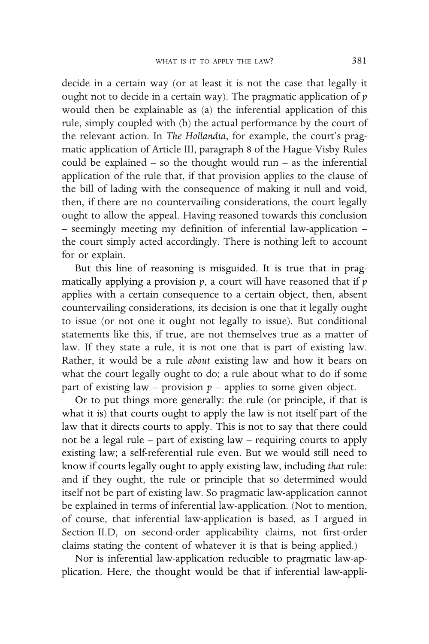decide in a certain way (or at least it is not the case that legally it ought not to decide in a certain way). The pragmatic application of  $p$ would then be explainable as (a) the inferential application of this rule, simply coupled with (b) the actual performance by the court of the relevant action. In The Hollandia, for example, the court's pragmatic application of Article III, paragraph 8 of the Hague-Visby Rules could be explained – so the thought would run – as the inferential application of the rule that, if that provision applies to the clause of the bill of lading with the consequence of making it null and void, then, if there are no countervailing considerations, the court legally ought to allow the appeal. Having reasoned towards this conclusion – seemingly meeting my definition of inferential law-application – the court simply acted accordingly. There is nothing left to account for or explain.

But this line of reasoning is misguided. It is true that in pragmatically applying a provision  $p$ , a court will have reasoned that if  $p$ applies with a certain consequence to a certain object, then, absent countervailing considerations, its decision is one that it legally ought to issue (or not one it ought not legally to issue). But conditional statements like this, if true, are not themselves true as a matter of law. If they state a rule, it is not one that is part of existing law. Rather, it would be a rule about existing law and how it bears on what the court legally ought to do; a rule about what to do if some part of existing law – provision  $p$  – applies to some given object.

Or to put things more generally: the rule (or principle, if that is what it is) that courts ought to apply the law is not itself part of the law that it directs courts to apply. This is not to say that there could not be a legal rule – part of existing law – requiring courts to apply existing law; a self-referential rule even. But we would still need to know if courts legally ought to apply existing law, including that rule: and if they ought, the rule or principle that so determined would itself not be part of existing law. So pragmatic law-application cannot be explained in terms of inferential law-application. (Not to mention, of course, that inferential law-application is based, as I argued in Section II.D, on second-order applicability claims, not first-order claims stating the content of whatever it is that is being applied.)

Nor is inferential law-application reducible to pragmatic law-application. Here, the thought would be that if inferential law-appli-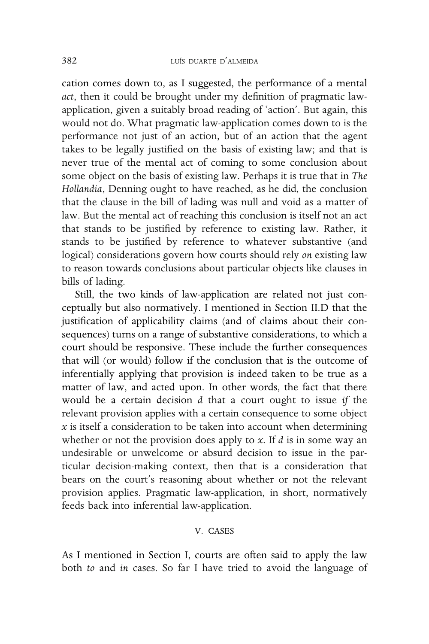cation comes down to, as I suggested, the performance of a mental act, then it could be brought under my definition of pragmatic lawapplication, given a suitably broad reading of 'action'. But again, this would not do. What pragmatic law-application comes down to is the performance not just of an action, but of an action that the agent takes to be legally justified on the basis of existing law; and that is never true of the mental act of coming to some conclusion about some object on the basis of existing law. Perhaps it is true that in The Hollandia, Denning ought to have reached, as he did, the conclusion that the clause in the bill of lading was null and void as a matter of law. But the mental act of reaching this conclusion is itself not an act that stands to be justified by reference to existing law. Rather, it stands to be justified by reference to whatever substantive (and logical) considerations govern how courts should rely on existing law to reason towards conclusions about particular objects like clauses in bills of lading.

Still, the two kinds of law-application are related not just conceptually but also normatively. I mentioned in Section II.D that the justification of applicability claims (and of claims about their consequences) turns on a range of substantive considerations, to which a court should be responsive. These include the further consequences that will (or would) follow if the conclusion that is the outcome of inferentially applying that provision is indeed taken to be true as a matter of law, and acted upon. In other words, the fact that there would be a certain decision d that a court ought to issue if the relevant provision applies with a certain consequence to some object  $x$  is itself a consideration to be taken into account when determining whether or not the provision does apply to  $x$ . If  $d$  is in some way an undesirable or unwelcome or absurd decision to issue in the particular decision-making context, then that is a consideration that bears on the court's reasoning about whether or not the relevant provision applies. Pragmatic law-application, in short, normatively feeds back into inferential law-application.

#### V. CASES

As I mentioned in Section I, courts are often said to apply the law both to and in cases. So far I have tried to avoid the language of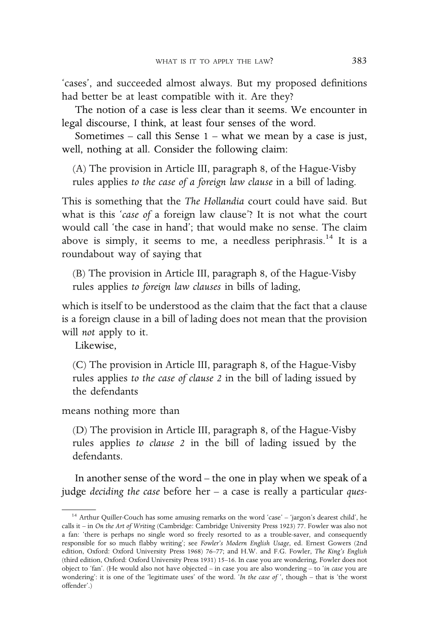'cases', and succeeded almost always. But my proposed definitions had better be at least compatible with it. Are they?

The notion of a case is less clear than it seems. We encounter in legal discourse, I think, at least four senses of the word.

Sometimes – call this Sense  $1$  – what we mean by a case is just, well, nothing at all. Consider the following claim:

(A) The provision in Article III, paragraph 8, of the Hague-Visby rules applies to the case of a foreign law clause in a bill of lading.

This is something that the The Hollandia court could have said. But what is this 'case of a foreign law clause'? It is not what the court would call 'the case in hand'; that would make no sense. The claim above is simply, it seems to me, a needless periphrasis.<sup>14</sup> It is a roundabout way of saying that

(B) The provision in Article III, paragraph 8, of the Hague-Visby rules applies to foreign law clauses in bills of lading,

which is itself to be understood as the claim that the fact that a clause is a foreign clause in a bill of lading does not mean that the provision will *not* apply to it.

Likewise,

(C) The provision in Article III, paragraph 8, of the Hague-Visby rules applies to the case of clause 2 in the bill of lading issued by the defendants

means nothing more than

(D) The provision in Article III, paragraph 8, of the Hague-Visby rules applies to clause 2 in the bill of lading issued by the defendants.

In another sense of the word – the one in play when we speak of a judge *deciding the case* before her  $-$  a case is really a particular *ques*-

<sup>&</sup>lt;sup>14</sup> Arthur Quiller-Couch has some amusing remarks on the word 'case' – 'jargon's dearest child', he calls it – in On the Art of Writing (Cambridge: Cambridge University Press 1923) 77. Fowler was also not a fan: 'there is perhaps no single word so freely resorted to as a trouble-saver, and consequently responsible for so much flabby writing'; see Fowler's Modern English Usage, ed. Ernest Gowers (2nd edition, Oxford: Oxford University Press 1968) 76–77; and H.W. and F.G. Fowler, The King's English (third edition, Oxford: Oxford University Press 1931) 15–16. In case you are wondering, Fowler does not object to 'fan'. (He would also not have objected – in case you are also wondering – to 'in case you are wondering': it is one of the 'legitimate uses' of the word. 'In the case of ', though – that is 'the worst offender'.)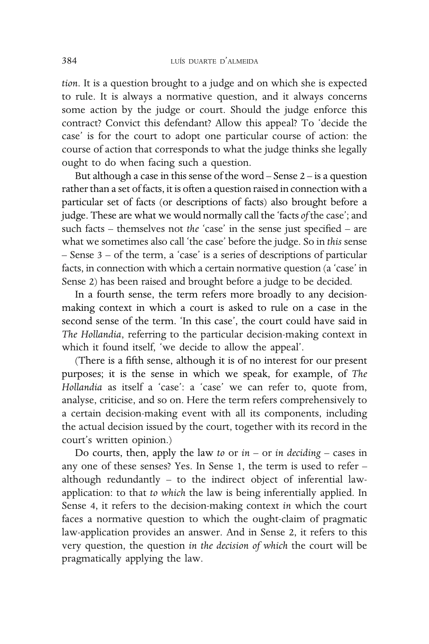tion. It is a question brought to a judge and on which she is expected to rule. It is always a normative question, and it always concerns some action by the judge or court. Should the judge enforce this contract? Convict this defendant? Allow this appeal? To 'decide the case' is for the court to adopt one particular course of action: the course of action that corresponds to what the judge thinks she legally ought to do when facing such a question.

But although a case in this sense of the word – Sense  $2 -$  is a question rather than a set of facts, it is often a question raised in connection with a particular set of facts (or descriptions of facts) also brought before a judge. These are what we would normally call the 'facts of the case'; and such facts – themselves not the 'case' in the sense just specified – are what we sometimes also call 'the case' before the judge. So in this sense – Sense 3 – of the term, a 'case' is a series of descriptions of particular facts, in connection with which a certain normative question (a 'case' in Sense 2) has been raised and brought before a judge to be decided.

In a fourth sense, the term refers more broadly to any decisionmaking context in which a court is asked to rule on a case in the second sense of the term. 'In this case', the court could have said in The Hollandia, referring to the particular decision-making context in which it found itself, 'we decide to allow the appeal'.

(There is a fifth sense, although it is of no interest for our present purposes; it is the sense in which we speak, for example, of The Hollandia as itself a 'case': a 'case' we can refer to, quote from, analyse, criticise, and so on. Here the term refers comprehensively to a certain decision-making event with all its components, including the actual decision issued by the court, together with its record in the court's written opinion.)

Do courts, then, apply the law to or  $in -$  or in deciding – cases in any one of these senses? Yes. In Sense 1, the term is used to refer – although redundantly – to the indirect object of inferential lawapplication: to that to which the law is being inferentially applied. In Sense 4, it refers to the decision-making context in which the court faces a normative question to which the ought-claim of pragmatic law-application provides an answer. And in Sense 2, it refers to this very question, the question in the decision of which the court will be pragmatically applying the law.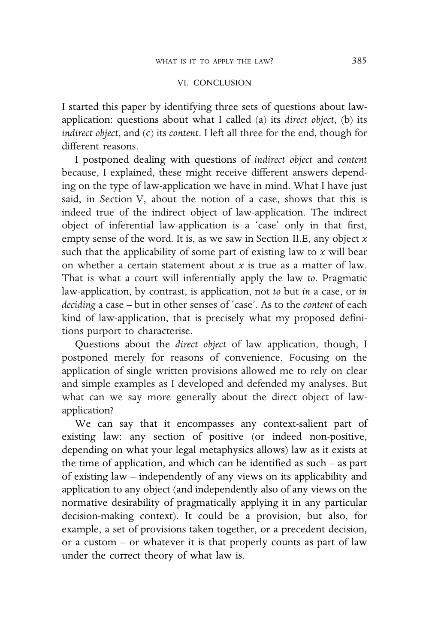#### VI. CONCLUSION

I started this paper by identifying three sets of questions about lawapplication: questions about what I called (a) its direct object, (b) its indirect object, and (c) its content. I left all three for the end, though for different reasons.

I postponed dealing with questions of indirect object and content because, I explained, these might receive different answers depending on the type of law-application we have in mind. What I have just said, in Section V, about the notion of a case, shows that this is indeed true of the indirect object of law-application. The indirect object of inferential law-application is a 'case' only in that first, empty sense of the word. It is, as we saw in Section II.E, any object  $x$ such that the applicability of some part of existing law to  $x$  will bear on whether a certain statement about  $x$  is true as a matter of law. That is what a court will inferentially apply the law to. Pragmatic law-application, by contrast, is application, not to but in a case, or in deciding a case – but in other senses of 'case'. As to the content of each kind of law-application, that is precisely what my proposed definitions purport to characterise.

Questions about the direct object of law application, though, I postponed merely for reasons of convenience. Focusing on the application of single written provisions allowed me to rely on clear and simple examples as I developed and defended my analyses. But what can we say more generally about the direct object of lawapplication?

We can say that it encompasses any context-salient part of existing law: any section of positive (or indeed non-positive, depending on what your legal metaphysics allows) law as it exists at the time of application, and which can be identified as such – as part of existing law – independently of any views on its applicability and application to any object (and independently also of any views on the normative desirability of pragmatically applying it in any particular decision-making context). It could be a provision, but also, for example, a set of provisions taken together, or a precedent decision, or a custom – or whatever it is that properly counts as part of law under the correct theory of what law is.